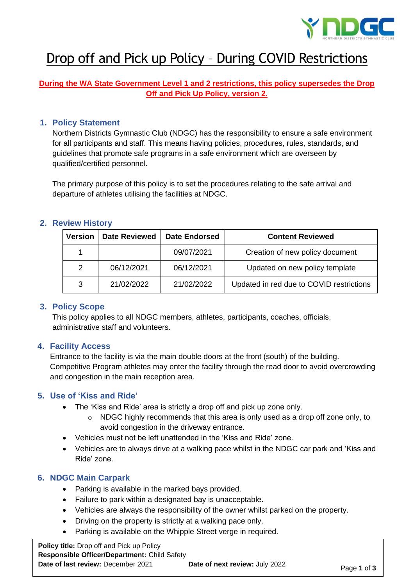

# Drop off and Pick up Policy – During COVID Restrictions

# **During the WA State Government Level 1 and 2 restrictions, this policy supersedes the Drop Off and Pick Up Policy, version 2.**

### **1. Policy Statement**

Northern Districts Gymnastic Club (NDGC) has the responsibility to ensure a safe environment for all participants and staff. This means having policies, procedures, rules, standards, and guidelines that promote safe programs in a safe environment which are overseen by qualified/certified personnel.

The primary purpose of this policy is to set the procedures relating to the safe arrival and departure of athletes utilising the facilities at NDGC.

#### **2. Review History**

| <b>Version</b> | <b>Date Reviewed</b> | <b>Date Endorsed</b> | <b>Content Reviewed</b>                  |
|----------------|----------------------|----------------------|------------------------------------------|
|                |                      | 09/07/2021           | Creation of new policy document          |
| $\mathcal{P}$  | 06/12/2021           | 06/12/2021           | Updated on new policy template           |
| 3              | 21/02/2022           | 21/02/2022           | Updated in red due to COVID restrictions |

#### **3. Policy Scope**

This policy applies to all NDGC members, athletes, participants, coaches, officials, administrative staff and volunteers.

## **4. Facility Access**

Entrance to the facility is via the main double doors at the front (south) of the building. Competitive Program athletes may enter the facility through the read door to avoid overcrowding and congestion in the main reception area.

## **5. Use of 'Kiss and Ride'**

- The 'Kiss and Ride' area is strictly a drop off and pick up zone only.
	- o NDGC highly recommends that this area is only used as a drop off zone only, to avoid congestion in the driveway entrance.
- Vehicles must not be left unattended in the 'Kiss and Ride' zone.
- Vehicles are to always drive at a walking pace whilst in the NDGC car park and 'Kiss and Ride' zone.

#### **6. NDGC Main Carpark**

- Parking is available in the marked bays provided.
- Failure to park within a designated bay is unacceptable.
- Vehicles are always the responsibility of the owner whilst parked on the property.
- Driving on the property is strictly at a walking pace only.
- Parking is available on the Whipple Street verge in required.

**Policy title:** Drop off and Pick up Policy **Responsible Officer/Department:** Child Safety **Date of last review:** December 2021 **Date of next review:** July 2022 Page 1 of 3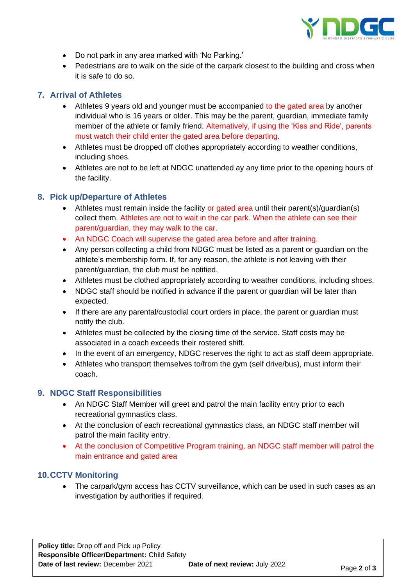

- Do not park in any area marked with 'No Parking.'
- Pedestrians are to walk on the side of the carpark closest to the building and cross when it is safe to do so.

# **7. Arrival of Athletes**

- Athletes 9 years old and younger must be accompanied to the gated area by another individual who is 16 years or older. This may be the parent, guardian, immediate family member of the athlete or family friend. Alternatively, if using the 'Kiss and Ride', parents must watch their child enter the gated area before departing.
- Athletes must be dropped off clothes appropriately according to weather conditions, including shoes.
- Athletes are not to be left at NDGC unattended ay any time prior to the opening hours of the facility.

## **8. Pick up/Departure of Athletes**

- Athletes must remain inside the facility or gated area until their parent(s)/guardian(s) collect them. Athletes are not to wait in the car park. When the athlete can see their parent/guardian, they may walk to the car.
- An NDGC Coach will supervise the gated area before and after training.
- Any person collecting a child from NDGC must be listed as a parent or guardian on the athlete's membership form. If, for any reason, the athlete is not leaving with their parent/guardian, the club must be notified.
- Athletes must be clothed appropriately according to weather conditions, including shoes.
- NDGC staff should be notified in advance if the parent or quardian will be later than expected.
- If there are any parental/custodial court orders in place, the parent or guardian must notify the club.
- Athletes must be collected by the closing time of the service. Staff costs may be associated in a coach exceeds their rostered shift.
- In the event of an emergency, NDGC reserves the right to act as staff deem appropriate.
- Athletes who transport themselves to/from the gym (self drive/bus), must inform their coach.

## **9. NDGC Staff Responsibilities**

- An NDGC Staff Member will greet and patrol the main facility entry prior to each recreational gymnastics class.
- At the conclusion of each recreational gymnastics class, an NDGC staff member will patrol the main facility entry.
- At the conclusion of Competitive Program training, an NDGC staff member will patrol the main entrance and gated area

## **10.CCTV Monitoring**

• The carpark/gym access has CCTV surveillance, which can be used in such cases as an investigation by authorities if required.